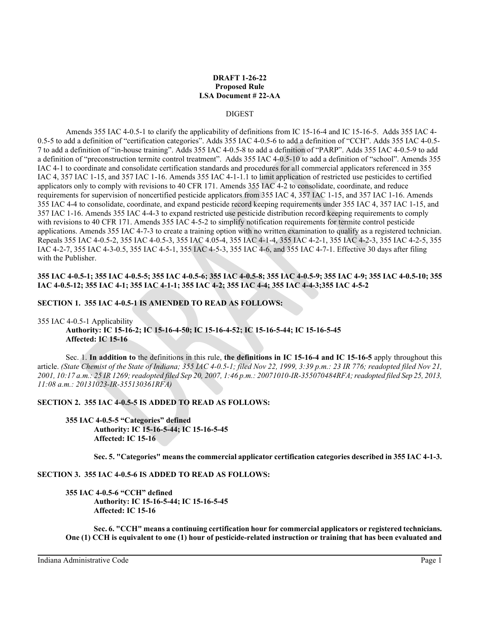# **DRAFT 1-26-22 Proposed Rule LSA Document # 22-AA**

#### DIGEST

Amends 355 IAC 4-0.5-1 to clarify the applicability of definitions from IC 15-16-4 and IC 15-16-5. Adds 355 IAC 4- 0.5-5 to add a definition of "certification categories". Adds 355 IAC 4-0.5-6 to add a definition of "CCH". Adds 355 IAC 4-0.5- 7 to add a definition of "in-house training". Adds 355 IAC 4-0.5-8 to add a definition of "PARP". Adds 355 IAC 4-0.5-9 to add a definition of "preconstruction termite control treatment". Adds 355 IAC 4-0.5-10 to add a definition of "school". Amends 355 IAC 4-1 to coordinate and consolidate certification standards and procedures for all commercial applicators referenced in 355 IAC 4, 357 IAC 1-15, and 357 IAC 1-16. Amends 355 IAC 4-1-1.1 to limit application of restricted use pesticides to certified applicators only to comply with revisions to 40 CFR 171. Amends 355 IAC 4-2 to consolidate, coordinate, and reduce requirements for supervision of noncertified pesticide applicators from 355 IAC 4, 357 IAC 1-15, and 357 IAC 1-16. Amends 355 IAC 4-4 to consolidate, coordinate, and expand pesticide record keeping requirements under 355 IAC 4, 357 IAC 1-15, and 357 IAC 1-16. Amends 355 IAC 4-4-3 to expand restricted use pesticide distribution record keeping requirements to comply with revisions to 40 CFR 171. Amends 355 IAC 4-5-2 to simplify notification requirements for termite control pesticide applications. Amends 355 IAC 4-7-3 to create a training option with no written examination to qualify as a registered technician. Repeals 355 IAC 4-0.5-2, 355 IAC 4-0.5-3, 355 IAC 4.05-4, 355 IAC 4-1-4, 355 IAC 4-2-1, 355 IAC 4-2-3, 355 IAC 4-2-5, 355 IAC 4-2-7, 355 IAC 4-3-0.5, 355 IAC 4-5-1, 355 IAC 4-5-3, 355 IAC 4-6, and 355 IAC 4-7-1. Effective 30 days after filing with the Publisher.

### **355 IAC 4-0.5-1; 355 IAC 4-0.5-5; 355 IAC 4-0.5-6; 355 IAC 4-0.5-8; 355 IAC 4-0.5-9; 355 IAC 4-9; 355 IAC 4-0.5-10; 355 IAC 4-0.5-12; 355 IAC 4-1; 355 IAC 4-1-1; 355 IAC 4-2; 355 IAC 4-4; 355 IAC 4-4-3;355 IAC 4-5-2**

### **SECTION 1. 355 IAC 4-0.5-1 IS AMENDED TO READ AS FOLLOWS:**

355 IAC 4-0.5-1 Applicability

**Authority: IC 15-16-2; IC 15-16-4-50; IC 15-16-4-52; IC 15-16-5-44; IC 15-16-5-45 Affected: IC 15-16**

Sec. 1. **In addition to** the definitions in this rule, **the definitions in IC 15-16-4 and IC 15-16-5** apply throughout this article. *(State Chemist of the State of Indiana; 355 IAC 4-0.5-1; filed Nov 22, 1999, 3:39 p.m.: 23 IR 776; readopted filed Nov 21, 2001, 10:17 a.m.: 25 IR 1269; readopted filed Sep 20, 2007, 1:46 p.m.: 20071010-IR-355070484RFA; readopted filed Sep 25, 2013, 11:08 a.m.: 20131023-IR-355130361RFA)*

## **SECTION 2. 355 IAC 4-0.5-5 IS ADDED TO READ AS FOLLOWS:**

**355 IAC 4-0.5-5 "Categories" defined Authority: IC 15-16-5-44; IC 15-16-5-45 Affected: IC 15-16**

**Sec. 5. "Categories" means the commercial applicator certification categories described in 355 IAC 4-1-3.**

### **SECTION 3. 355 IAC 4-0.5-6 IS ADDED TO READ AS FOLLOWS:**

**355 IAC 4-0.5-6 "CCH" defined Authority: IC 15-16-5-44; IC 15-16-5-45 Affected: IC 15-16**

**Sec. 6. "CCH" means a continuing certification hour for commercial applicators or registered technicians. One (1) CCH is equivalent to one (1) hour of pesticide-related instruction or training that has been evaluated and**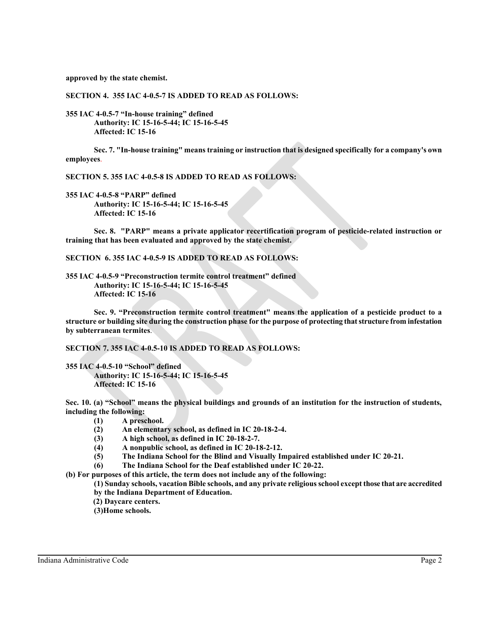**approved by the state chemist.**

### **SECTION 4. 355 IAC 4-0.5-7 IS ADDED TO READ AS FOLLOWS:**

**355 IAC 4-0.5-7 "In-house training" defined Authority: IC 15-16-5-44; IC 15-16-5-45 Affected: IC 15-16**

**Sec. 7. "In-house training" means training or instruction that is designed specifically for a company's own employees**.

## **SECTION 5. 355 IAC 4-0.5-8 IS ADDED TO READ AS FOLLOWS:**

**355 IAC 4-0.5-8 "PARP" defined Authority: IC 15-16-5-44; IC 15-16-5-45 Affected: IC 15-16**

**Sec. 8. "PARP" means a private applicator recertification program of pesticide-related instruction or training that has been evaluated and approved by the state chemist.**

## **SECTION 6. 355 IAC 4-0.5-9 IS ADDED TO READ AS FOLLOWS:**

**355 IAC 4-0.5-9 "Preconstruction termite control treatment" defined Authority: IC 15-16-5-44; IC 15-16-5-45 Affected: IC 15-16**

**Sec. 9. "Preconstruction termite control treatment" means the application of a pesticide product to a structure or building site during the construction phase for the purpose of protecting that structure from infestation by subterranean termites**.

**SECTION 7. 355 IAC 4-0.5-10 IS ADDED TO READ AS FOLLOWS:**

**355 IAC 4-0.5-10 "School" defined Authority: IC 15-16-5-44; IC 15-16-5-45 Affected: IC 15-16**

**Sec. 10. (a) "School" means the physical buildings and grounds of an institution for the instruction of students, including the following:**

- **(1) A preschool.**
- **(2) An elementary school, as defined in IC 20-18-2-4.**
- **(3) A high school, as defined in IC 20-18-2-7.**
- **(4) A nonpublic school, as defined in IC 20-18-2-12.**
- **(5) The Indiana School for the Blind and Visually Impaired established under IC 20-21.**
- **(6) The Indiana School for the Deaf established under IC 20-22.**

**(b) For purposes of this article, the term does not include any of the following:**

**(1) Sunday schools, vacation Bible schools, and any private religious school except those that are accredited by the Indiana Department of Education.**

- **(2) Daycare centers.**
- **(3)Home schools.**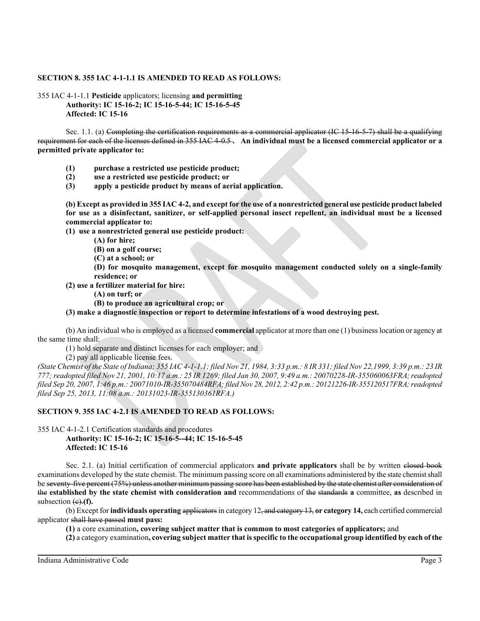## **SECTION 8. 355 IAC 4-1-1.1 IS AMENDED TO READ AS FOLLOWS:**

355 IAC 4-1-1.1 **Pesticide** applicators; licensing **and permitting Authority: IC 15-16-2; IC 15-16-5-44; IC 15-16-5-45 Affected: IC 15-16**

Sec. 1.1. (a) Completing the certification requirements as a commercial applicator (IC 15-16-5-7) shall be a qualifying requirement for each of the licenses defined in 355 IAC 4-0.5 **. An individual must be a licensed commercial applicator or a permitted private applicator to:**

- **(1) purchase a restricted use pesticide product;**
- **(2) use a restricted use pesticide product; or**
- **(3) apply a pesticide product by means of aerial application.**

**(b) Except as provided in 355 IAC 4-2, and except for the use of a nonrestricted general use pesticide product labeled for use as a disinfectant, sanitizer, or self-applied personal insect repellent, an individual must be a licensed commercial applicator to:**

**(1) use a nonrestricted general use pesticide product:**

**(A) for hire;**

**(B) on a golf course;**

**(C) at a school; or**

**(D) for mosquito management, except for mosquito management conducted solely on a single-family residence; or**

**(2) use a fertilizer material for hire:**

**(A) on turf; or**

**(B) to produce an agricultural crop; or**

**(3) make a diagnostic inspection or report to determine infestations of a wood destroying pest.**

(b) An individual who is employed as a licensed **commercial** applicator at more than one (1) business location or agency at the same time shall:

(1) hold separate and distinct licenses for each employer; and

(2) pay all applicable license fees.

*(State Chemist of the State of Indiana; 355 IAC 4-1-1.1; filed Nov 21, 1984, 3:33 p.m.: 8 IR 331; filed Nov 22,1999, 3:39 p.m.: 23 IR 777; readopted filed Nov 21, 2001, 10:17 a.m.: 25 IR 1269; filed Jan 30, 2007, 9:49 a.m.: 20070228-IR-355060063FRA; readopted filed Sep 20, 2007, 1:46 p.m.: 20071010-IR-355070484RFA; filed Nov 28, 2012, 2:42 p.m.: 20121226-IR-355120517FRA; readopted filed Sep 25, 2013, 11:08 a.m.: 20131023-IR-355130361RFA.)*

# **SECTION 9. 355 IAC 4-2.1 IS AMENDED TO READ AS FOLLOWS:**

355 IAC 4-1-2.1 Certification standards and procedures

**Authority: IC 15-16-2; IC 15-16-5--44; IC 15-16-5-45 Affected: IC 15-16**

Sec. 2.1. (a) Initial certification of commercial applicators **and private applicators** shall be by written elessed book examinations developed by the state chemist. The minimum passing score on all examinations administered by the state chemist shall be seventy-five percent (75%) unless another minimum passing score has been established by the state chemist after consideration of the **established by the state chemist with consideration and** recommendations of the standards **a** committee, **as** described in subsection  $\Theta$ . $(f)$ .

(b) Except for **individuals operating** applicatorsin category 12, and category 13, **or category 14,** each certified commercial applicator shall have passed **must pass:**

**(1)** a core examination**, covering subject matter that is common to most categories of applicators;** and

**(2)** a category examination**, covering subject matter that is specific to the occupational group identified by each of the**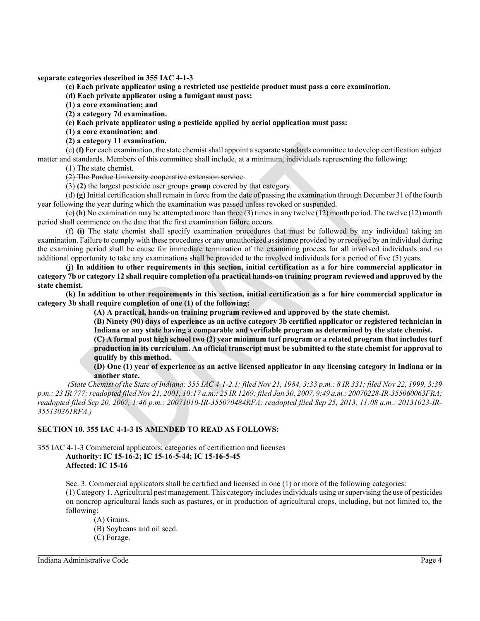### **separate categories described in 355 IAC 4-1-3**

**(c) Each private applicator using a restricted use pesticide product must pass a core examination.** 

**(d) Each private applicator using a fumigant must pass:**

**(1) a core examination; and**

**(2) a category 7d examination.**

**(e) Each private applicator using a pesticide applied by aerial application must pass:**

**(1) a core examination; and**

**(2) a category 11 examination.**

(c) **(f)** For each examination, the state chemist shall appoint a separate standards committee to develop certification subject matter and standards. Members of this committee shall include, at a minimum, individuals representing the following:

(1) The state chemist.

(2) The Purdue University cooperative extension service.

(3) **(2)** the largest pesticide user groups **group** covered by that category.

(d) **(g)** Initial certification shall remain in force from the date of passing the examination through December 31 of the fourth year following the year during which the examination was passed unless revoked or suspended.

(e) **(h)** No examination may be attempted more than three (3) times in any twelve (12) month period. The twelve (12) month period shall commence on the date that the first examination failure occurs.

(f) **(i)** The state chemist shall specify examination procedures that must be followed by any individual taking an examination. Failure to comply with these procedures or any unauthorized assistance provided by or received by an individual during the examining period shall be cause for immediate termination of the examining process for all involved individuals and no additional opportunity to take any examinations shall be provided to the involved individuals for a period of five (5) years.

**(j) In addition to other requirements in this section, initial certification as a for hire commercial applicator in category 7b or category 12 shall require completion of a practical hands-on training program reviewed and approved by the state chemist.**

**(k) In addition to other requirements in this section, initial certification as a for hire commercial applicator in category 3b shall require completion of one (1) of the following:**

**(A) A practical, hands-on training program reviewed and approved by the state chemist.**

**(B) Ninety (90) days of experience as an active category 3b certified applicator or registered technician in Indiana or any state having a comparable and verifiable program as determined by the state chemist.**

**(C) A formal post high school two (2) year minimum turf program or a related program that includes turf production in its curriculum. An official transcript must be submitted to the state chemist for approval to qualify by this method.**

**(D) One (1) year of experience as an active licensed applicator in any licensing category in Indiana or in another state.**

*(State Chemist of the State of Indiana; 355 IAC 4-1-2.1; filed Nov 21, 1984, 3:33 p.m.: 8 IR 331; filed Nov 22, 1999, 3:39 p.m.: 23 IR 777; readopted filed Nov 21, 2001, 10:17 a.m.: 25 IR 1269; filed Jan 30, 2007, 9:49 a.m.: 20070228-IR-355060063FRA; readopted filed Sep 20, 2007, 1:46 p.m.: 20071010-IR-355070484RFA; readopted filed Sep 25, 2013, 11:08 a.m.: 20131023-IR-355130361RFA.)*

# **SECTION 10. 355 IAC 4-1-3 IS AMENDED TO READ AS FOLLOWS:**

355 IAC 4-1-3 Commercial applicators; categories of certification and licenses **Authority: IC 15-16-2; IC 15-16-5-44; IC 15-16-5-45 Affected: IC 15-16**

Sec. 3. Commercial applicators shall be certified and licensed in one (1) or more of the following categories:

(1) Category 1. Agricultural pest management. This category includes individuals using orsupervising the use of pesticides on noncrop agricultural lands such as pastures, or in production of agricultural crops, including, but not limited to, the following:

(A) Grains.

(B) Soybeans and oil seed.

(C) Forage.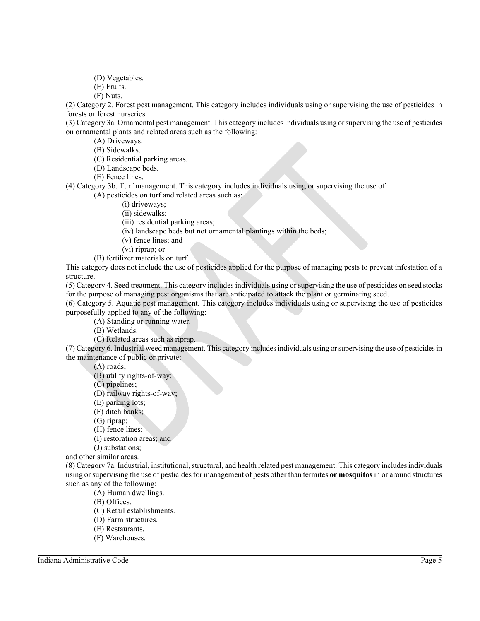(D) Vegetables.

(E) Fruits.

(F) Nuts.

(2) Category 2. Forest pest management. This category includes individuals using or supervising the use of pesticides in forests or forest nurseries.

(3) Category 3a. Ornamental pest management. This category includes individuals using or supervising the use of pesticides on ornamental plants and related areas such as the following:

(A) Driveways.

(B) Sidewalks.

(C) Residential parking areas.

(D) Landscape beds.

(E) Fence lines.

(4) Category 3b. Turf management. This category includes individuals using or supervising the use of:

(A) pesticides on turf and related areas such as:

(i) driveways;

(ii) sidewalks;

(iii) residential parking areas;

(iv) landscape beds but not ornamental plantings within the beds;

(v) fence lines; and

(vi) riprap; or

(B) fertilizer materials on turf.

This category does not include the use of pesticides applied for the purpose of managing pests to prevent infestation of a structure.

(5) Category 4. Seed treatment. This category includesindividuals using or supervising the use of pesticides on seed stocks for the purpose of managing pest organisms that are anticipated to attack the plant or germinating seed.

(6) Category 5. Aquatic pest management. This category includes individuals using or supervising the use of pesticides purposefully applied to any of the following:

(A) Standing or running water.

(B) Wetlands.

(C) Related areas such as riprap.

(7) Category 6. Industrial weed management. This category includes individuals using or supervising the use of pesticides in the maintenance of public or private:

(A) roads;

(B) utility rights-of-way;

(C) pipelines;

- (D) railway rights-of-way;
- (E) parking lots;
- (F) ditch banks;

(G) riprap;

(H) fence lines;

(I) restoration areas; and

(J) substations;

and other similar areas.

(8) Category 7a. Industrial, institutional, structural, and health related pest management. This category includes individuals using or supervising the use of pesticides for management of pests other than termites **or mosquitos** in or around structures such as any of the following:

(A) Human dwellings.

(B) Offices.

- (C) Retail establishments.
- (D) Farm structures.
- (E) Restaurants.
- (F) Warehouses.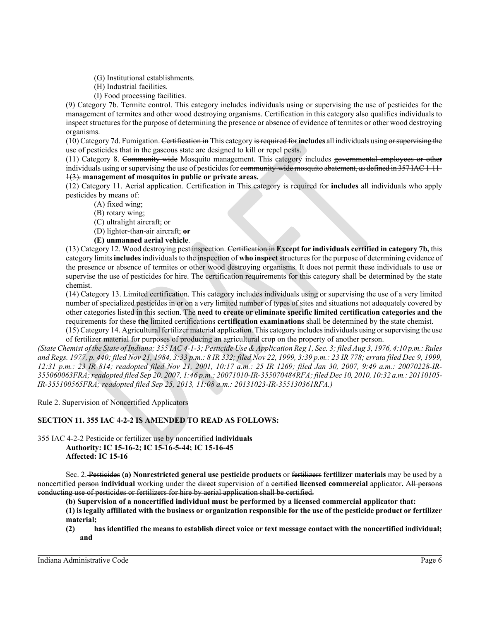- (G) Institutional establishments.
- (H) Industrial facilities.
- (I) Food processing facilities.

(9) Category 7b. Termite control. This category includes individuals using or supervising the use of pesticides for the management of termites and other wood destroying organisms. Certification in this category also qualifies individuals to inspect structures for the purpose of determining the presence or absence of evidence of termites or other wood destroying organisms.

(10) Category 7d. Fumigation. Certification in This category is required for**includes** all individuals using or supervising the use of pesticides that in the gaseous state are designed to kill or repel pests.

(11) Category 8. Community wide Mosquito management. This category includes governmental employees or other individuals using or supervising the use of pesticides for community-wide mosquito abatement, as defined in 357 IAC 1-11-1(3). **management of mosquitos in public or private areas.**

(12) Category 11. Aerial application. Certification in This category is required for **includes** all individuals who apply pesticides by means of:

- (A) fixed wing;
- (B) rotary wing;
- (C) ultralight aircraft; or
- (D) lighter-than-air aircraft; **or**

**(E) unmanned aerial vehicle**.

(13) Category 12. Wood destroying pest inspection. Certification in **Except for individuals certified in category 7b,** this category limits**includes**individuals to the inspection of **who inspect** structures for the purpose of determining evidence of the presence or absence of termites or other wood destroying organisms. It does not permit these individuals to use or supervise the use of pesticides for hire. The certification requirements for this category shall be determined by the state chemist.

(14) Category 13. Limited certification. This category includes individuals using or supervising the use of a very limited number of specialized pesticides in or on a very limited number of types of sites and situations not adequately covered by other categories listed in this section. The **need to create or eliminate specific limited certification categories and the** requirements for these **the** limited certifications **certification examinations** shall be determined by the state chemist.

(15) Category 14. Agricultural fertilizer material application. This category includesindividuals using or supervising the use of fertilizer material for purposes of producing an agricultural crop on the property of another person.

*(State Chemist of the State of Indiana; 355 IAC 4-1-3; Pesticide Use & Application Reg 1, Sec. 3; filed Aug 3, 1976, 4:10 p.m.: Rules and Regs. 1977, p. 440; filed Nov 21, 1984, 3:33 p.m.: 8 IR 332; filed Nov 22, 1999, 3:39 p.m.: 23 IR 778; errata filed Dec 9, 1999, 12:31 p.m.: 23 IR 814; readopted filed Nov 21, 2001, 10:17 a.m.: 25 IR 1269; filed Jan 30, 2007, 9:49 a.m.: 20070228-IR-355060063FRA; readopted filed Sep 20, 2007, 1:46 p.m.: 20071010-IR-355070484RFA; filed Dec 10, 2010, 10:32 a.m.: 20110105- IR-355100565FRA; readopted filed Sep 25, 2013, 11:08 a.m.: 20131023-IR-355130361RFA.)*

Rule 2. Supervision of Noncertified Applicators

# **SECTION 11. 355 IAC 4-2-2 IS AMENDED TO READ AS FOLLOWS:**

355 IAC 4-2-2 Pesticide or fertilizer use by noncertified **individuals Authority: IC 15-16-2; IC 15-16-5-44; IC 15-16-45 Affected: IC 15-16**

Sec. 2. Pesticides **(a) Nonrestricted general use pesticide products** or fertilizers **fertilizer materials** may be used by a noncertified person **individual** working under the direct supervision of a certified **licensed commercial** applicator**.** All persons conducting use of pesticides or fertilizers for hire by aerial application shall be certified.

**(b) Supervision of a noncertified individual must be performed by a licensed commercial applicator that:**

**(1) is legally affiliated with the business or organization responsible for the use of the pesticide product or fertilizer material;**

**(2) has identified the means to establish direct voice or text message contact with the noncertified individual; and**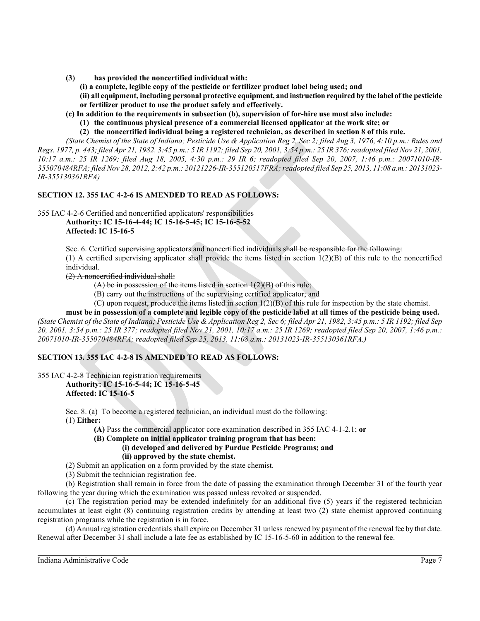**(3) has provided the noncertified individual with:**

**(i) a complete, legible copy of the pesticide or fertilizer product label being used; and**

**(ii) all equipment, including personal protective equipment, and instruction required by the label of the pesticide or fertilizer product to use the product safely and effectively.** 

- **(c) In addition to the requirements in subsection (b), supervision of for-hire use must also include:**
	- **(1) the continuous physical presence of a commercial licensed applicator at the work site; or (2) the noncertified individual being a registered technician, as described in section 8 of this rule.**

*(State Chemist of the State of Indiana; Pesticide Use & Application Reg 2, Sec 2; filed Aug 3, 1976, 4:10 p.m.: Rules and Regs. 1977, p. 443; filed Apr 21, 1982, 3:45 p.m.: 5 IR 1192; filed Sep 20, 2001, 3:54 p.m.: 25 IR 376; readopted filed Nov 21, 2001, 10:17 a.m.: 25 IR 1269; filed Aug 18, 2005, 4:30 p.m.: 29 IR 6; readopted filed Sep 20, 2007, 1:46 p.m.: 20071010-IR-355070484RFA; filed Nov 28, 2012, 2:42 p.m.: 20121226-IR-355120517FRA; readopted filed Sep 25, 2013, 11:08 a.m.: 20131023- IR-355130361RFA)*

# **SECTION 12. 355 IAC 4-2-6 IS AMENDED TO READ AS FOLLOWS:**

355 IAC 4-2-6 Certified and noncertified applicators' responsibilities **Authority: IC 15-16-4-44; IC 15-16-5-45; IC 15-16-5-52**

**Affected: IC 15-16-5**

Sec. 6. Certified supervising applicators and noncertified individuals shall be responsible for the following: (1) A certified supervising applicator shall provide the items listed in section 1(2)(B) of this rule to the noncertified

individual.

(2) A noncertified individual shall:

(A) be in possession of the items listed in section 1(2)(B) of this rule;

(B) carry out the instructions of the supervising certified applicator; and

(C) upon request, produce the items listed in section 1(2)(B) of this rule for inspection by the state chemist.

**must be in possession of a complete and legible copy of the pesticide label at all times of the pesticide being used.**

*(State Chemist of the State of Indiana; Pesticide Use & Application Reg 2, Sec 6; filed Apr 21, 1982, 3:45 p.m.: 5 IR 1192; filed Sep 20, 2001, 3:54 p.m.: 25 IR 377; readopted filed Nov 21, 2001, 10:17 a.m.: 25 IR 1269; readopted filed Sep 20, 2007, 1:46 p.m.: 20071010-IR-355070484RFA; readopted filed Sep 25, 2013, 11:08 a.m.: 20131023-IR-355130361RFA.)*

# **SECTION 13. 355 IAC 4-2-8 IS AMENDED TO READ AS FOLLOWS:**

355 IAC 4-2-8 Technician registration requirements **Authority: IC 15-16-5-44; IC 15-16-5-45 Affected: IC 15-16-5**

> Sec. 8. (a) To become a registered technician, an individual must do the following: (1) **Either:**

**(A)** Pass the commercial applicator core examination described in 355 IAC 4-1-2.1; **or**

**(B) Complete an initial applicator training program that has been:**

**(i) developed and delivered by Purdue Pesticide Programs; and (ii) approved by the state chemist.**

(2) Submit an application on a form provided by the state chemist.

(3) Submit the technician registration fee.

(b) Registration shall remain in force from the date of passing the examination through December 31 of the fourth year following the year during which the examination was passed unless revoked or suspended.

(c) The registration period may be extended indefinitely for an additional five (5) years if the registered technician accumulates at least eight (8) continuing registration credits by attending at least two (2) state chemist approved continuing registration programs while the registration is in force.

(d) Annual registration credentials shall expire on December 31 unless renewed by payment of the renewal fee by that date. Renewal after December 31 shall include a late fee as established by IC 15-16-5-60 in addition to the renewal fee.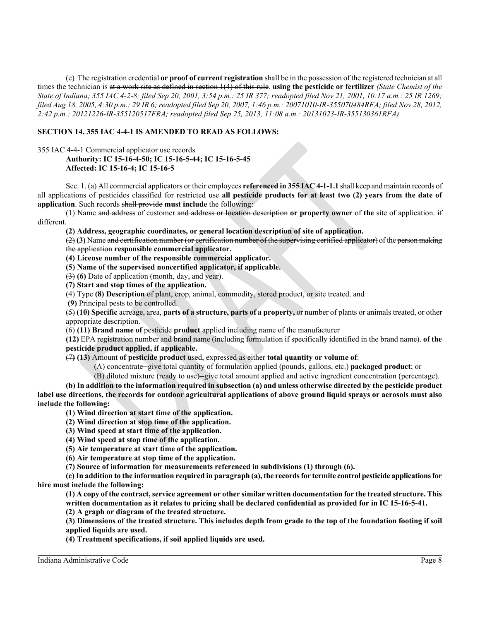(e) The registration credential **or proof of current registration** shall be in the possession of the registered technician at all times the technician is at a work site as defined in section 1(4) of this rule. **using the pesticide or fertilizer** *(State Chemist of the State of Indiana; 355 IAC 4-2-8; filed Sep 20, 2001, 3:54 p.m.: 25 IR 377; readopted filed Nov 21, 2001, 10:17 a.m.: 25 IR 1269; filed Aug 18, 2005, 4:30 p.m.: 29 IR 6; readopted filed Sep 20, 2007, 1:46 p.m.: 20071010-IR-355070484RFA; filed Nov 28, 2012, 2:42 p.m.: 20121226-IR-355120517FRA; readopted filed Sep 25, 2013, 11:08 a.m.: 20131023-IR-355130361RFA)*

# **SECTION 14. 355 IAC 4-4-1 IS AMENDED TO READ AS FOLLOWS:**

### 355 IAC 4-4-1 Commercial applicator use records **Authority: IC 15-16-4-50; IC 15-16-5-44; IC 15-16-5-45 Affected: IC 15-16-4; IC 15-16-5**

Sec. 1. (a) All commercial applicators or their employees **referenced in 355 IAC 4-1-1.1** shall keep and maintain records of all applications of pesticides classified for restricted use **all pesticide products for at least two (2) years from the date of application**. Such records shall provide **must include** the following:

(1) Name and address of customer and address or location description **or property owner** of **the** site of application. if different.

**(2) Address, geographic coordinates, or general location description of site of application.**

(2) **(3)** Name and certification number (or certification number of the supervising certified applicator) of the person making the application **responsible commercial applicator.**

**(4) License number of the responsible commercial applicator.**

**(5) Name of the supervised noncertified applicator, if applicable.**

(3) **(6)** Date of application (month, day, and year).

**(7) Start and stop times of the application.**

(4) Type **(8) Description** of plant, crop, animal, commodity, stored product, or site treated. and

**(9)** Principal pests to be controlled.

(5) **(10) Specific** acreage, area, **parts of a structure, parts of a property,** or number of plants or animals treated, or other appropriate description.

(6) **(11) Brand name of** pesticide **product** applied including name of the manufacturer

**(12)** EPA registration number and brand name (including formulation if specifically identified in the brand name). **of the pesticide product applied, if applicable.**

(7**) (13)** Amount **of pesticide product** used, expressed as either **total quantity or volume of**:

(A) concentrate─give total quantity of formulation applied (pounds, gallons, etc.) **packaged product**; or

(B) diluted mixture (ready to use)—give total amount applied and active ingredient concentration (percentage).

**(b) In addition to the information required in subsection (a) and unless otherwise directed by the pesticide product label use directions, the records for outdoor agricultural applications of above ground liquid sprays or aerosols must also include the following:**

**(1) Wind direction at start time of the application.**

**(2) Wind direction at stop time of the application.**

**(3) Wind speed at start time of the application.**

**(4) Wind speed at stop time of the application.**

**(5) Air temperature at start time of the application.**

**(6) Air temperature at stop time of the application.**

**(7) Source of information for measurements referenced in subdivisions (1) through (6).**

**(c) In addition to the information required in paragraph (a), the recordsfor termite control pesticide applications for hire must include the following:**

**(1) A copy of the contract, service agreement or other similar written documentation for the treated structure. This**

**written documentation as it relates to pricing shall be declared confidential as provided for in IC 15-16-5-41.**

**(2) A graph or diagram of the treated structure.**

**(3) Dimensions of the treated structure. This includes depth from grade to the top of the foundation footing if soil applied liquids are used.**

**(4) Treatment specifications, if soil applied liquids are used.**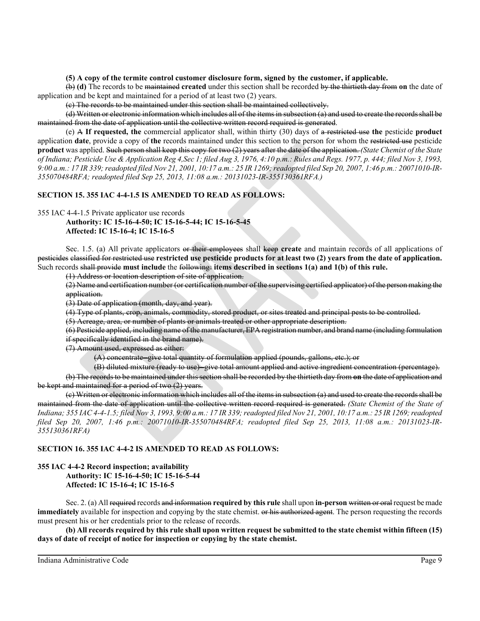### **(5) A copy of the termite control customer disclosure form, signed by the customer, if applicable.**

(b) **(d)** The records to be maintained **created** under this section shall be recorded by the thirtieth day from **on** the date of application and be kept and maintained for a period of at least two (2) years.

(c) The records to be maintained under this section shall be maintained collectively.

(d) Written or electronic information which includes all of the items in subsection (a) and used to create the recordsshall be maintained from the date of application until the collective written record required is generated.

(e) A **If requested, the** commercial applicator shall, within thirty (30) days of a restricted use **the** pesticide **product**  application **date**, provide a copy of **the** records maintained under this section to the person for whom the restricted use pesticide **product** was applied. Such person shall keep this copy for two (2) years after the date of the application. *(State Chemist of the State of Indiana; Pesticide Use & Application Reg 4,Sec 1; filed Aug 3, 1976, 4:10 p.m.: Rules and Regs. 1977, p. 444; filed Nov 3, 1993, 9:00 a.m.: 17 IR 339; readopted filed Nov 21, 2001, 10:17 a.m.: 25 IR 1269; readopted filed Sep 20, 2007, 1:46 p.m.: 20071010-IR-355070484RFA; readopted filed Sep 25, 2013, 11:08 a.m.: 20131023-IR-355130361RFA.)*

## **SECTION 15. 355 IAC 4-4-1.5 IS AMENDED TO READ AS FOLLOWS:**

355 IAC 4-4-1.5 Private applicator use records

**Authority: IC 15-16-4-50; IC 15-16-5-44; IC 15-16-5-45 Affected: IC 15-16-4; IC 15-16-5**

Sec. 1.5. (a) All private applicators or their employees shall keep **create** and maintain records of all applications of pesticides classified for restricted use **restricted use pesticide products for at least two (2) years from the date of application.** Such records shall provide **must include** the following: **items described in sections 1(a) and 1(b) of this rule.**

(1) Address or location description of site of application.

(2) Name and certification number (or certification number of the supervising certified applicator) of the person making the application.

(3) Date of application (month, day, and year).

(4) Type of plants, crop, animals, commodity, stored product, or sites treated and principal pests to be controlled.

(5) Acreage, area, or number of plants or animals treated or other appropriate description.

(6) Pesticide applied, including name of the manufacturer, EPA registration number, and brand name (including formulation if specifically identified in the brand name).

(7) Amount used, expressed as either:

(A) concentrate-give total quantity of formulation applied (pounds, gallons, etc.); or

(B) diluted mixture (ready to use)─give total amount applied and active ingredient concentration (percentage).

(b) The records to be maintained under this section shall be recorded by the thirtieth day from **on** the date of application and be kept and maintained for a period of two (2) years.

(c) Written or electronic information which includes all of the itemsin subsection (a) and used to create the records shall be maintained from the date of application until the collective written record required is generated. *(State Chemist of the State of Indiana; 355 IAC 4-4-1.5; filed Nov 3, 1993, 9:00 a.m.: 17 IR 339; readopted filed Nov 21, 2001, 10:17 a.m.: 25 IR 1269; readopted filed Sep 20, 2007, 1:46 p.m.: 20071010-IR-355070484RFA; readopted filed Sep 25, 2013, 11:08 a.m.: 20131023-IR-355130361RFA)*

# **SECTION 16. 355 IAC 4-4-2 IS AMENDED TO READ AS FOLLOWS:**

# **355 IAC 4-4-2 Record inspection; availability Authority: IC 15-16-4-50; IC 15-16-5-44 Affected: IC 15-16-4; IC 15-16-5**

Sec. 2. (a) All required records and information **required by this rule** shall upon **in-person** written or oral request be made immediately available for inspection and copying by the state chemist. or his authorized agent. The person requesting the records must present his or her credentials prior to the release of records.

**(b) All records required by this rule shall upon written request be submitted to the state chemist within fifteen (15) days of date of receipt of notice for inspection or copying by the state chemist.**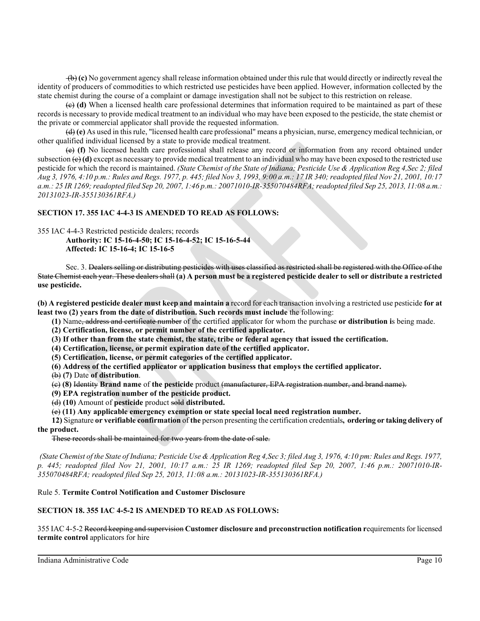(b) **(c)** No government agency shall release information obtained under this rule that would directly or indirectly reveal the identity of producers of commodities to which restricted use pesticides have been applied. However, information collected by the state chemist during the course of a complaint or damage investigation shall not be subject to this restriction on release.

(c) **(d)** When a licensed health care professional determines that information required to be maintained as part of these records is necessary to provide medical treatment to an individual who may have been exposed to the pesticide, the state chemist or the private or commercial applicator shall provide the requested information.

(d) **(e)** As used in this rule, "licensed health care professional" means a physician, nurse, emergency medical technician, or other qualified individual licensed by a state to provide medical treatment.

(e) **(f)** No licensed health care professional shall release any record or information from any record obtained under subsection  $\leftrightarrow$  **(d)** except as necessary to provide medical treatment to an individual who may have been exposed to the restricted use pesticide for which the record is maintained. *(State Chemist of the State of Indiana; Pesticide Use & Application Reg 4,Sec 2; filed Aug 3, 1976, 4:10 p.m.: Rules and Regs. 1977, p. 445; filed Nov 3, 1993, 9:00 a.m.: 17 IR 340; readopted filed Nov 21, 2001, 10:17 a.m.: 25 IR 1269; readopted filed Sep 20, 2007, 1:46 p.m.: 20071010-IR-355070484RFA; readopted filed Sep 25, 2013, 11:08 a.m.: 20131023-IR-355130361RFA.)*

## **SECTION 17. 355 IAC 4-4-3 IS AMENDED TO READ AS FOLLOWS:**

355 IAC 4-4-3 Restricted pesticide dealers; records

**Authority: IC 15-16-4-50; IC 15-16-4-52; IC 15-16-5-44 Affected: IC 15-16-4; IC 15-16-5**

Sec. 3. Dealers selling or distributing pesticides with uses classified as restricted shall be registered with the Office of the State Chemist each year. These dealers shall **(a) A person must be a registered pesticide dealer to sell or distribute a restricted use pesticide.** 

**(b) A registered pesticide dealer must keep and maintain a** record for each transaction involving a restricted use pesticide **for at least two (2) years from the date of distribution. Such records must include** the following:

**(1)** Name, address and certificate number of the certified applicator for whom the purchase **or distribution i**s being made.

**(2) Certification, license, or permit number of the certified applicator.**

**(3) If other than from the state chemist, the state, tribe or federal agency that issued the certification.**

**(4) Certification, license, or permit expiration date of the certified applicator.**

**(5) Certification, license, or permit categories of the certified applicator.**

**(6) Address of the certified applicator or application business that employs the certified applicator.**

(b) **(7)** Date **of distribution**.

(c) **(8)** Identity **Brand name** of **the pesticide** product (manufacturer, EPA registration number, and brand name).

**(9) EPA registration number of the pesticide product.**

(d) **(10)** Amount of **pesticide** product sold **distributed.**

(e) **(11) Any applicable emergency exemption or state special local need registration number.**

**12)** Signature **or verifiable confirmation** of **the** person presenting the certification credentials**, ordering or taking delivery of the product.**

These records shall be maintained for two years from the date of sale.

*(State Chemist of the State of Indiana; Pesticide Use & Application Reg 4,Sec 3; filed Aug 3, 1976, 4:10 pm: Rules and Regs. 1977, p. 445; readopted filed Nov 21, 2001, 10:17 a.m.: 25 IR 1269; readopted filed Sep 20, 2007, 1:46 p.m.: 20071010-IR-355070484RFA; readopted filed Sep 25, 2013, 11:08 a.m.: 20131023-IR-355130361RFA.)*

### Rule 5. **Termite Control Notification and Customer Disclosure**

### **SECTION 18. 355 IAC 4-5-2 IS AMENDED TO READ AS FOLLOWS:**

355 IAC 4-5-2 Record keeping and supervision **Customer disclosure and preconstruction notification r**equirements for licensed **termite control** applicators for hire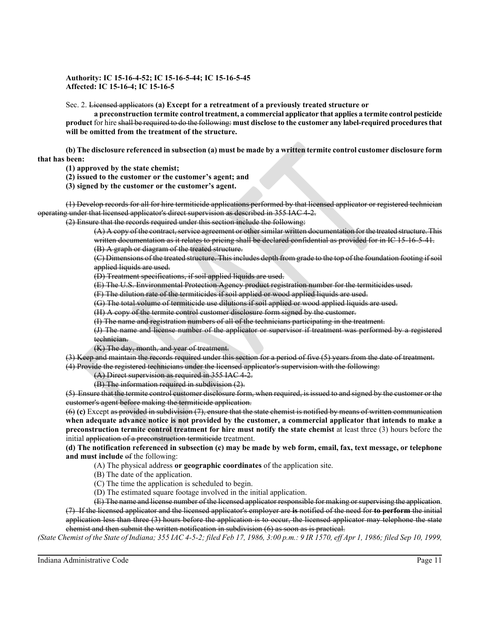## **Authority: IC 15-16-4-52; IC 15-16-5-44; IC 15-16-5-45 Affected: IC 15-16-4; IC 15-16-5**

Sec. 2. Licensed applicators **(a) Except for a retreatment of a previously treated structure or** 

**a preconstruction termite control treatment, a commercial applicator that applies a termite control pesticide product** for hire shall be required to do the following: **must disclose to the customer any label-required procedures that will be omitted from the treatment of the structure.**

**(b) The disclosure referenced in subsection (a) must be made by a written termite control customer disclosure form that has been:**

**(1) approved by the state chemist;**

**(2) issued to the customer or the customer's agent; and**

**(3) signed by the customer or the customer's agent.**

(1) Develop records for all for hire termiticide applications performed by that licensed applicator or registered technician operating under that licensed applicator's direct supervision as described in 355 IAC 4-2.

(2) Ensure that the records required under this section include the following:

(A) A copy of the contract, service agreement or other similar written documentation for the treated structure. This written documentation as it relates to pricing shall be declared confidential as provided for in IC 15-16-5-41.

(B) A graph or diagram of the treated structure.

(C) Dimensions of the treated structure. This includes depth from grade to the top of the foundation footing if soil applied liquids are used.

(D) Treatment specifications, if soil applied liquids are used.

(E) The U.S. Environmental Protection Agency product registration number for the termiticides used.

(F) The dilution rate of the termiticides if soil applied or wood applied liquids are used.

(G) The total volume of termiticide use dilutions if soil applied or wood applied liquids are used.

(H) A copy of the termite control customer disclosure form signed by the customer.

(I) The name and registration numbers of all of the technicians participating in the treatment.

(J) The name and license number of the applicator or supervisor if treatment was performed by a registered technician.

(K) The day, month, and year of treatment.

(3) Keep and maintain the records required under this section for a period of five (5) years from the date of treatment. (4) Provide the registered technicians under the licensed applicator's supervision with the following:

(A) Direct supervision as required in 355 IAC 4-2.

(B) The information required in subdivision (2).

(5) Ensure that the termite control customer disclosure form, when required, is issued to and signed by the customer or the customer's agent before making the termiticide application.

(6) **(c)** Except as provided in subdivision (7), ensure that the state chemist is notified by means of written communication **when adequate advance notice is not provided by the customer, a commercial applicator that intends to make a preconstruction termite control treatment for hire must notify the state chemist** at least three (3) hours before the initial application of a preconstruction termiticide treatment.

**(d) The notification referenced in subsection (c) may be made by web form, email, fax, text message, or telephone and must include** of the following:

(A) The physical address **or geographic coordinates** of the application site.

(B) The date of the application.

(C) The time the application is scheduled to begin.

(D) The estimated square footage involved in the initial application.

(E) The name and license number of the licensed applicator responsible for making or supervising the application.

(7) If the licensed applicator and the licensed applicator's employer are **is** notified of the need for **to perform** the initial application less than three (3) hours before the application is to occur, the licensed applicator may telephone the state chemist and then submit the written notification in subdivision (6) as soon as is practical.

*(State Chemist of the State of Indiana; 355 IAC 4-5-2; filed Feb 17, 1986, 3:00 p.m.: 9 IR 1570, eff Apr 1, 1986; filed Sep 10, 1999,*